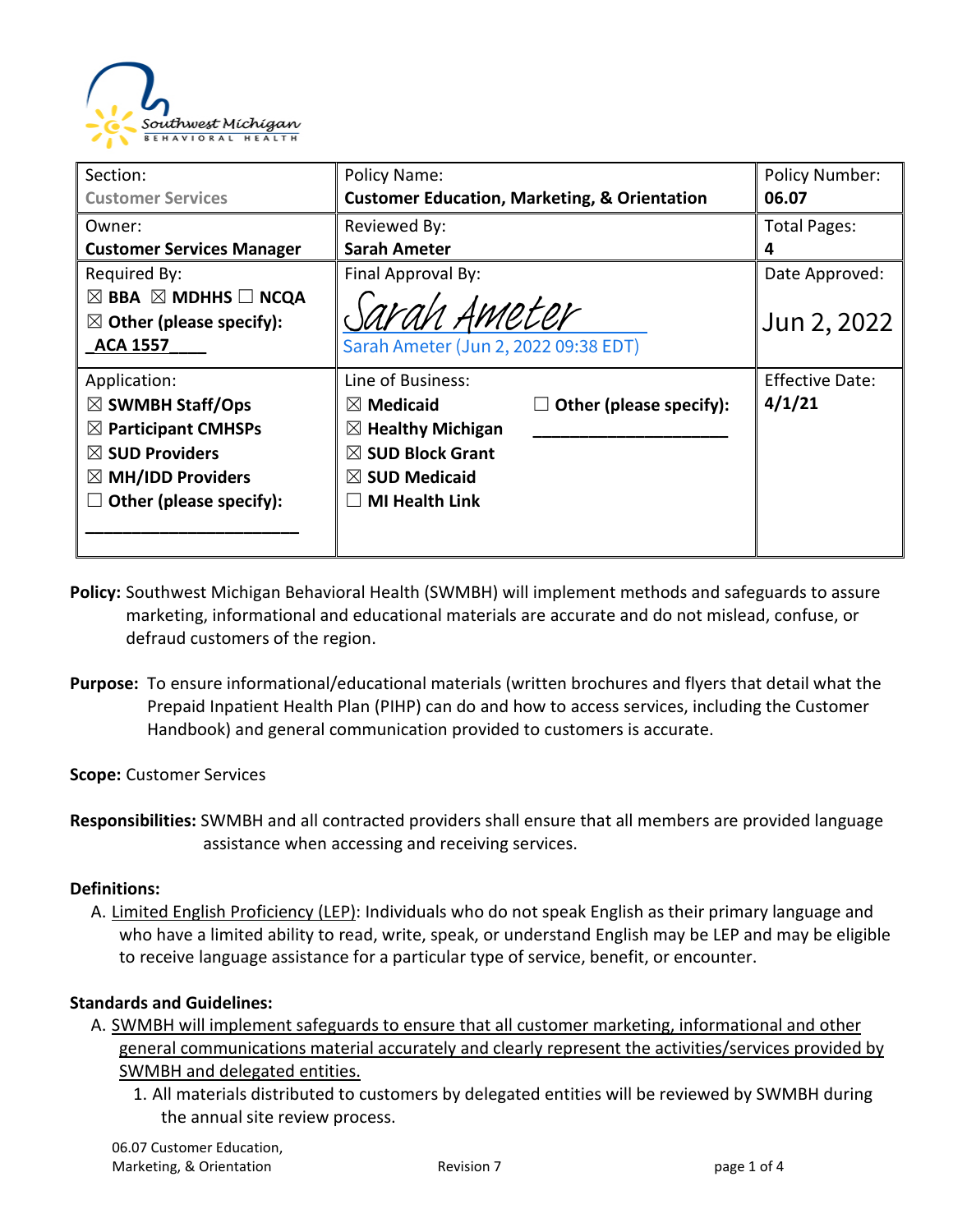

| Section:                                                                                                                                                                        | Policy Name:                                                                                                                                                                             | <b>Policy Number:</b>            |
|---------------------------------------------------------------------------------------------------------------------------------------------------------------------------------|------------------------------------------------------------------------------------------------------------------------------------------------------------------------------------------|----------------------------------|
| <b>Customer Services</b>                                                                                                                                                        | <b>Customer Education, Marketing, &amp; Orientation</b>                                                                                                                                  | 06.07                            |
| Owner:                                                                                                                                                                          | Reviewed By:                                                                                                                                                                             | <b>Total Pages:</b>              |
| <b>Customer Services Manager</b>                                                                                                                                                | Sarah Ameter                                                                                                                                                                             | 4                                |
| Required By:<br>$\boxtimes$ BBA $\boxtimes$ MDHHS $\Box$ NCQA<br>$\boxtimes$ Other (please specify):<br><b>ACA 1557</b>                                                         | Final Approval By:<br>Sarah Ameter<br>Sarah Ameter (Jun 2, 2022 09:38 EDT)                                                                                                               | Date Approved:<br>Jun 2, 2022    |
| Application:<br>$\boxtimes$ SWMBH Staff/Ops<br>$\boxtimes$ Participant CMHSPs<br>$\boxtimes$ SUD Providers<br>$\boxtimes$ MH/IDD Providers<br>Other (please specify):<br>$\Box$ | Line of Business:<br>Other (please specify):<br>$\boxtimes$ Medicaid<br>$\boxtimes$ Healthy Michigan<br>$\boxtimes$ SUD Block Grant<br>$\boxtimes$ SUD Medicaid<br><b>MI Health Link</b> | <b>Effective Date:</b><br>4/1/21 |

- **Policy:** Southwest Michigan Behavioral Health (SWMBH) will implement methods and safeguards to assure marketing, informational and educational materials are accurate and do not mislead, confuse, or defraud customers of the region.
- **Purpose:** To ensure informational/educational materials (written brochures and flyers that detail what the Prepaid Inpatient Health Plan (PIHP) can do and how to access services, including the Customer Handbook) and general communication provided to customers is accurate.

**Scope:** Customer Services

**Responsibilities:** SWMBH and all contracted providers shall ensure that all members are provided language assistance when accessing and receiving services.

#### **Definitions:**

A. Limited English Proficiency (LEP): Individuals who do not speak English as their primary language and who have a limited ability to read, write, speak, or understand English may be LEP and may be eligible to receive language assistance for a particular type of service, benefit, or encounter.

#### **Standards and Guidelines:**

- A. SWMBH will implement safeguards to ensure that all customer marketing, informational and other general communications material accurately and clearly represent the activities/services provided by SWMBH and delegated entities.
	- 1. All materials distributed to customers by delegated entities will be reviewed by SWMBH during the annual site review process.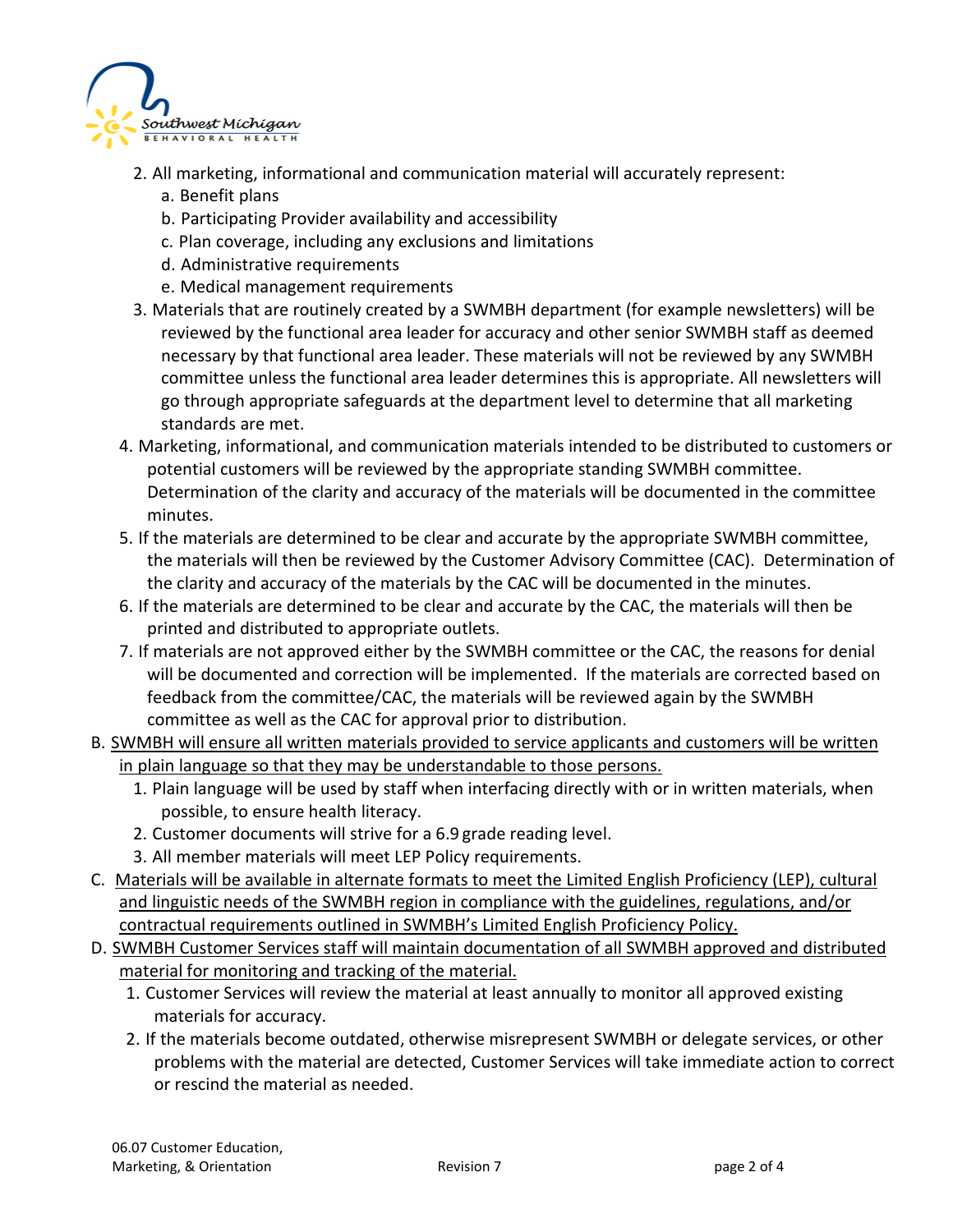

- 2. All marketing, informational and communication material will accurately represent:
	- a. Benefit plans
	- b. Participating Provider availability and accessibility
	- c. Plan coverage, including any exclusions and limitations
	- d. Administrative requirements
	- e. Medical management requirements
- 3. Materials that are routinely created by a SWMBH department (for example newsletters) will be reviewed by the functional area leader for accuracy and other senior SWMBH staff as deemed necessary by that functional area leader. These materials will not be reviewed by any SWMBH committee unless the functional area leader determines this is appropriate. All newsletters will go through appropriate safeguards at the department level to determine that all marketing standards are met.
- 4. Marketing, informational, and communication materials intended to be distributed to customers or potential customers will be reviewed by the appropriate standing SWMBH committee. Determination of the clarity and accuracy of the materials will be documented in the committee minutes.
- 5. If the materials are determined to be clear and accurate by the appropriate SWMBH committee, the materials will then be reviewed by the Customer Advisory Committee (CAC). Determination of the clarity and accuracy of the materials by the CAC will be documented in the minutes.
- 6. If the materials are determined to be clear and accurate by the CAC, the materials will then be printed and distributed to appropriate outlets.
- 7. If materials are not approved either by the SWMBH committee or the CAC, the reasons for denial will be documented and correction will be implemented. If the materials are corrected based on feedback from the committee/CAC, the materials will be reviewed again by the SWMBH committee as well as the CAC for approval prior to distribution.
- B. SWMBH will ensure all written materials provided to service applicants and customers will be written in plain language so that they may be understandable to those persons.
	- 1. Plain language will be used by staff when interfacing directly with or in written materials, when possible, to ensure health literacy.
	- 2. Customer documents will strive for a 6.9 grade reading level.
	- 3. All member materials will meet LEP Policy requirements.
- C. Materials will be available in alternate formats to meet the Limited English Proficiency (LEP), cultural and linguistic needs of the SWMBH region in compliance with the guidelines, regulations, and/or contractual requirements outlined in SWMBH's Limited English Proficiency Policy.
- D. SWMBH Customer Services staff will maintain documentation of all SWMBH approved and distributed material for monitoring and tracking of the material.
	- 1. Customer Services will review the material at least annually to monitor all approved existing materials for accuracy.
	- 2. If the materials become outdated, otherwise misrepresent SWMBH or delegate services, or other problems with the material are detected, Customer Services will take immediate action to correct or rescind the material as needed.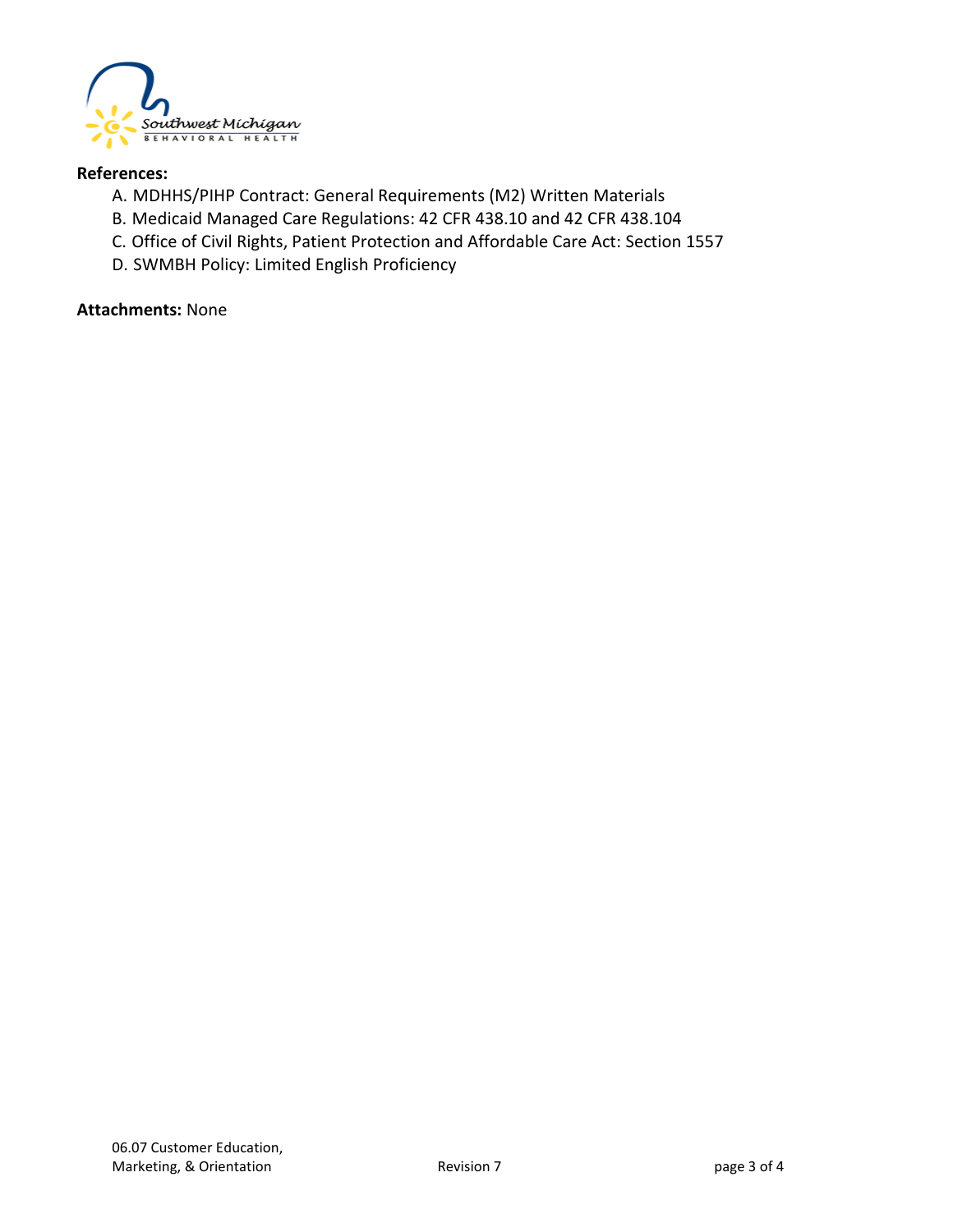

#### **References:**

- A. MDHHS/PIHP Contract: General Requirements (M2) Written Materials
- B. Medicaid Managed Care Regulations: 42 CFR 438.10 and 42 CFR 438.104
- C. Office of Civil Rights, Patient Protection and Affordable Care Act: Section 1557
- D. SWMBH Policy: Limited English Proficiency

#### **Attachments:** None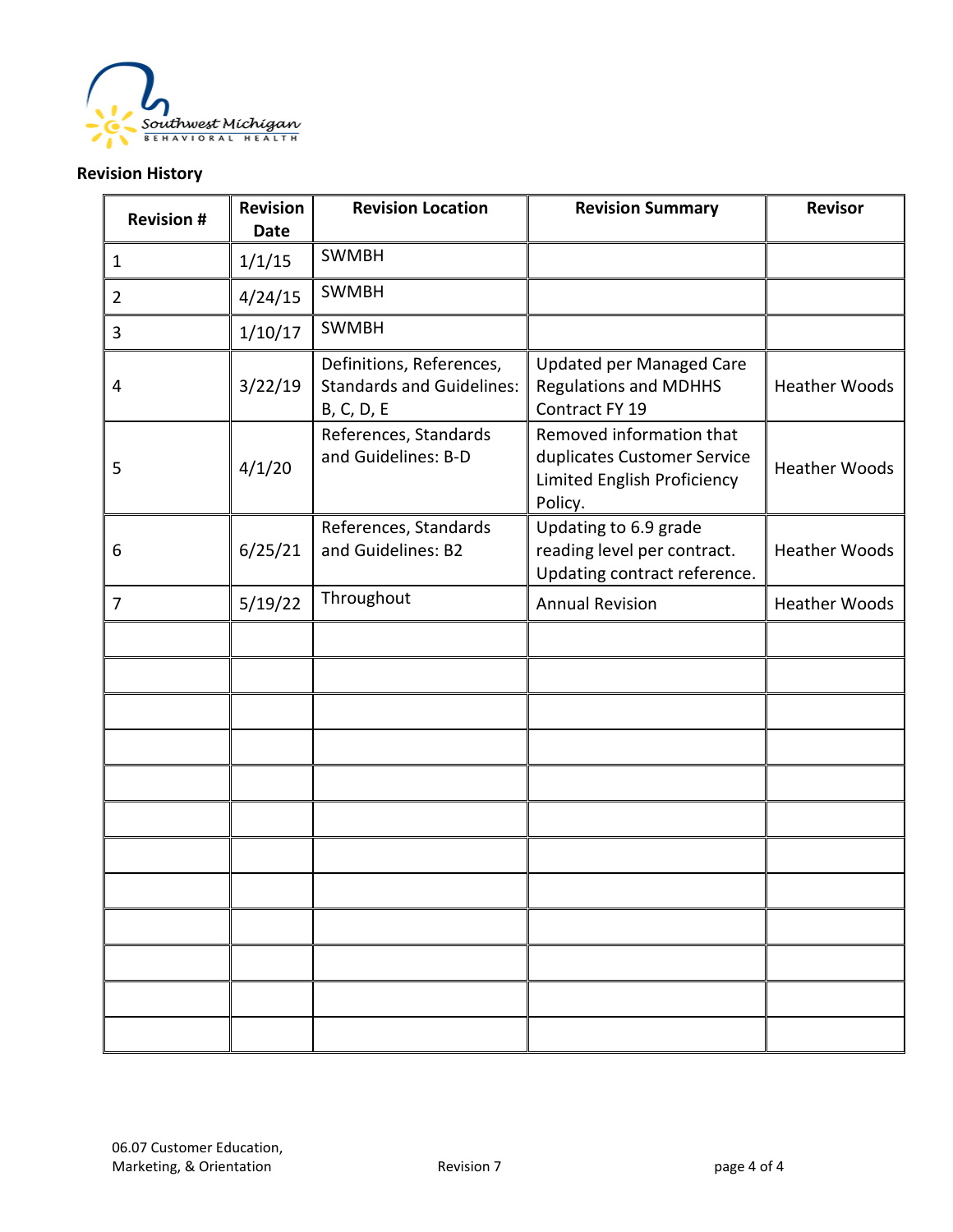

### **Revision History**

| <b>Revision #</b> | <b>Revision</b><br><b>Date</b> | <b>Revision Location</b>                                                   | <b>Revision Summary</b>                                                                           | <b>Revisor</b>       |
|-------------------|--------------------------------|----------------------------------------------------------------------------|---------------------------------------------------------------------------------------------------|----------------------|
| $\mathbf{1}$      | 1/1/15                         | <b>SWMBH</b>                                                               |                                                                                                   |                      |
| $\overline{2}$    | 4/24/15                        | <b>SWMBH</b>                                                               |                                                                                                   |                      |
| 3                 | 1/10/17                        | <b>SWMBH</b>                                                               |                                                                                                   |                      |
| 4                 | 3/22/19                        | Definitions, References,<br><b>Standards and Guidelines:</b><br>B, C, D, E | <b>Updated per Managed Care</b><br><b>Regulations and MDHHS</b><br>Contract FY 19                 | <b>Heather Woods</b> |
| 5                 | 4/1/20                         | References, Standards<br>and Guidelines: B-D                               | Removed information that<br>duplicates Customer Service<br>Limited English Proficiency<br>Policy. | <b>Heather Woods</b> |
| 6                 | 6/25/21                        | References, Standards<br>and Guidelines: B2                                | Updating to 6.9 grade<br>reading level per contract.<br>Updating contract reference.              | <b>Heather Woods</b> |
| $\overline{7}$    | 5/19/22                        | Throughout                                                                 | <b>Annual Revision</b>                                                                            | <b>Heather Woods</b> |
|                   |                                |                                                                            |                                                                                                   |                      |
|                   |                                |                                                                            |                                                                                                   |                      |
|                   |                                |                                                                            |                                                                                                   |                      |
|                   |                                |                                                                            |                                                                                                   |                      |
|                   |                                |                                                                            |                                                                                                   |                      |
|                   |                                |                                                                            |                                                                                                   |                      |
|                   |                                |                                                                            |                                                                                                   |                      |
|                   |                                |                                                                            |                                                                                                   |                      |
|                   |                                |                                                                            |                                                                                                   |                      |
|                   |                                |                                                                            |                                                                                                   |                      |
|                   |                                |                                                                            |                                                                                                   |                      |
|                   |                                |                                                                            |                                                                                                   |                      |